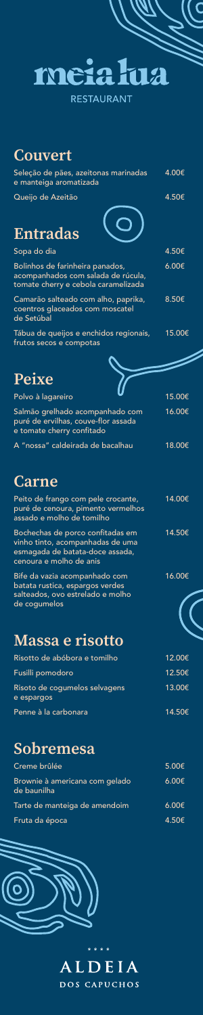

**RESTAURANT** 

### Couvert

| Seleção de pães, azeitonas marinadas<br>e manteiga aromatizada                                               | 4.00€  |
|--------------------------------------------------------------------------------------------------------------|--------|
| Queijo de Azeitão<br><b>Entradas</b>                                                                         | 4.50€  |
| Sopa do dia                                                                                                  | 4.50€  |
| Bolinhos de farinheira panados,<br>acompanhados com salada de rúcula,<br>tomate cherry e cebola caramelizada | 6.00€  |
| Camarão salteado com alho, paprika,<br>coentros glaceados com moscatel<br>de Setúbal                         | 8.50€  |
| Tábua de queijos e enchidos regionais,<br>frutos secos e compotas                                            | 15.00€ |

## Peixe

| Polvo à lagareiro                                                |                                 | 15.00€ |
|------------------------------------------------------------------|---------------------------------|--------|
| puré de ervilhas, couve-flor assada<br>e tomate cherry confitado | Salmão grelhado acompanhado com | 16.00€ |
| A "nossa" caldeirada de bacalhau                                 |                                 | 18.00€ |

## **Carne**

| Peito de frango com pele crocante,<br>puré de cenoura, pimento vermelhos<br>assado e molho de tomilho                              | 14.00€ |
|------------------------------------------------------------------------------------------------------------------------------------|--------|
| Bochechas de porco confitadas em<br>vinho tinto, acompanhadas de uma<br>esmagada de batata-doce assada,<br>cenoura e molho de anis | 14.50€ |
| Bife da vazia acompanhado com<br>hatata ructica esparans verdes                                                                    | 16.00€ |

batata rustica, espargos verdes salteados, ovo estrelado e molho de cogumelos

# Massa e risotto

| Risotto de abóbora e tomilho                | 12.00€ |
|---------------------------------------------|--------|
| Fusilli pomodoro                            | 12.50€ |
| Risoto de cogumelos selvagens<br>e espargos | 13.00€ |
| Penne à la carbonara                        | 14.50€ |

### Sobremesa

| Creme brûlée                                  | $5.00 \epsilon$ |
|-----------------------------------------------|-----------------|
| Brownie à americana com gelado<br>de baunilha | 6.00E           |
| Tarte de manteiga de amendoim                 | $6.00 \epsilon$ |
| Fruta da época                                | 4.50€           |